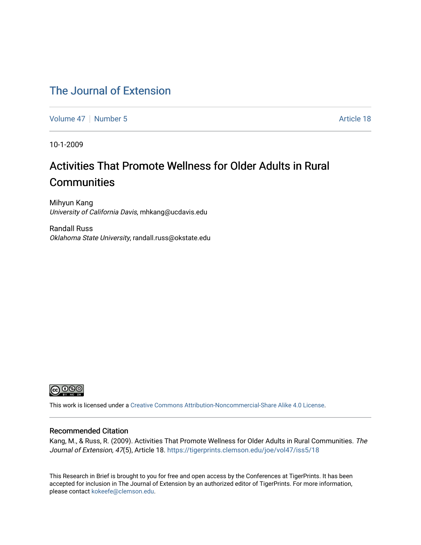#### [The Journal of Extension](https://tigerprints.clemson.edu/joe)

[Volume 47](https://tigerprints.clemson.edu/joe/vol47) | [Number 5](https://tigerprints.clemson.edu/joe/vol47/iss5) Article 18

10-1-2009

# Activities That Promote Wellness for Older Adults in Rural **Communities**

Mihyun Kang University of California Davis, mhkang@ucdavis.edu

Randall Russ Oklahoma State University, randall.russ@okstate.edu



This work is licensed under a [Creative Commons Attribution-Noncommercial-Share Alike 4.0 License.](https://creativecommons.org/licenses/by-nc-sa/4.0/)

#### Recommended Citation

Kang, M., & Russ, R. (2009). Activities That Promote Wellness for Older Adults in Rural Communities. The Journal of Extension, 47(5), Article 18. https://tigerprints.clemson.edu/joe/vol47/iss5/18

This Research in Brief is brought to you for free and open access by the Conferences at TigerPrints. It has been accepted for inclusion in The Journal of Extension by an authorized editor of TigerPrints. For more information, please contact [kokeefe@clemson.edu](mailto:kokeefe@clemson.edu).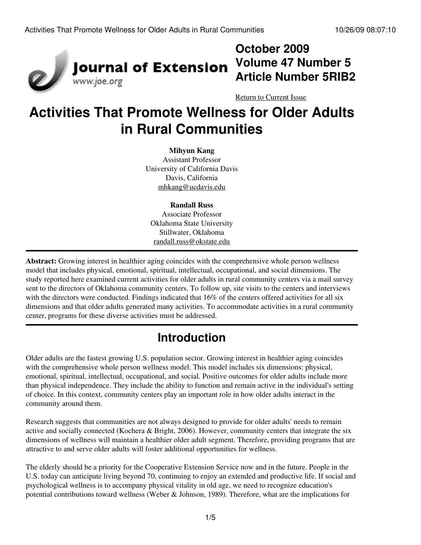

# **October 2009 Volume 47 Number 5 Article Number 5RIB2**

[Return to Current Issue](http://www.joe.org:80/joe/2009october/)

# **Activities That Promote Wellness for Older Adults in Rural Communities**

#### **Mihyun Kang**

Assistant Professor University of California Davis Davis, California [mhkang@ucdavis.edu](mailto:mhkang@ucdavis.edu)

#### **Randall Russ**

Associate Professor Oklahoma State University Stillwater, Oklahoma [randall.russ@okstate.edu](mailto:randall.russ@okstate.edu)

**Abstract:** Growing interest in healthier aging coincides with the comprehensive whole person wellness model that includes physical, emotional, spiritual, intellectual, occupational, and social dimensions. The study reported here examined current activities for older adults in rural community centers via a mail survey sent to the directors of Oklahoma community centers. To follow up, site visits to the centers and interviews with the directors were conducted. Findings indicated that 16% of the centers offered activities for all six dimensions and that older adults generated many activities. To accommodate activities in a rural community center, programs for these diverse activities must be addressed.

# **Introduction**

Older adults are the fastest growing U.S. population sector. Growing interest in healthier aging coincides with the comprehensive whole person wellness model. This model includes six dimensions: physical, emotional, spiritual, intellectual, occupational, and social. Positive outcomes for older adults include more than physical independence. They include the ability to function and remain active in the individual's setting of choice. In this context, community centers play an important role in how older adults interact in the community around them.

Research suggests that communities are not always designed to provide for older adults' needs to remain active and socially connected (Kochera & Bright, 2006). However, community centers that integrate the six dimensions of wellness will maintain a healthier older adult segment. Therefore, providing programs that are attractive to and serve older adults will foster additional opportunities for wellness.

The elderly should be a priority for the Cooperative Extension Service now and in the future. People in the U.S. today can anticipate living beyond 70, continuing to enjoy an extended and productive life. If social and psychological wellness is to accompany physical vitality in old age, we need to recognize education's potential contributions toward wellness (Weber & Johnson, 1989). Therefore, what are the implications for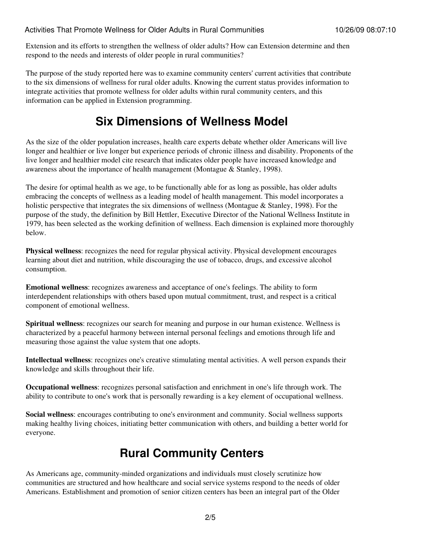Extension and its efforts to strengthen the wellness of older adults? How can Extension determine and then respond to the needs and interests of older people in rural communities?

The purpose of the study reported here was to examine community centers' current activities that contribute to the six dimensions of wellness for rural older adults. Knowing the current status provides information to integrate activities that promote wellness for older adults within rural community centers, and this information can be applied in Extension programming.

### **Six Dimensions of Wellness Model**

As the size of the older population increases, health care experts debate whether older Americans will live longer and healthier or live longer but experience periods of chronic illness and disability. Proponents of the live longer and healthier model cite research that indicates older people have increased knowledge and awareness about the importance of health management (Montague & Stanley, 1998).

The desire for optimal health as we age, to be functionally able for as long as possible, has older adults embracing the concepts of wellness as a leading model of health management. This model incorporates a holistic perspective that integrates the six dimensions of wellness (Montague & Stanley, 1998). For the purpose of the study, the definition by Bill Hettler, Executive Director of the National Wellness Institute in 1979, has been selected as the working definition of wellness. Each dimension is explained more thoroughly below.

**Physical wellness**: recognizes the need for regular physical activity. Physical development encourages learning about diet and nutrition, while discouraging the use of tobacco, drugs, and excessive alcohol consumption.

**Emotional wellness**: recognizes awareness and acceptance of one's feelings. The ability to form interdependent relationships with others based upon mutual commitment, trust, and respect is a critical component of emotional wellness.

**Spiritual wellness**: recognizes our search for meaning and purpose in our human existence. Wellness is characterized by a peaceful harmony between internal personal feelings and emotions through life and measuring those against the value system that one adopts.

**Intellectual wellness**: recognizes one's creative stimulating mental activities. A well person expands their knowledge and skills throughout their life.

**Occupational wellness**: recognizes personal satisfaction and enrichment in one's life through work. The ability to contribute to one's work that is personally rewarding is a key element of occupational wellness.

**Social wellness**: encourages contributing to one's environment and community. Social wellness supports making healthy living choices, initiating better communication with others, and building a better world for everyone.

## **Rural Community Centers**

As Americans age, community-minded organizations and individuals must closely scrutinize how communities are structured and how healthcare and social service systems respond to the needs of older Americans. Establishment and promotion of senior citizen centers has been an integral part of the Older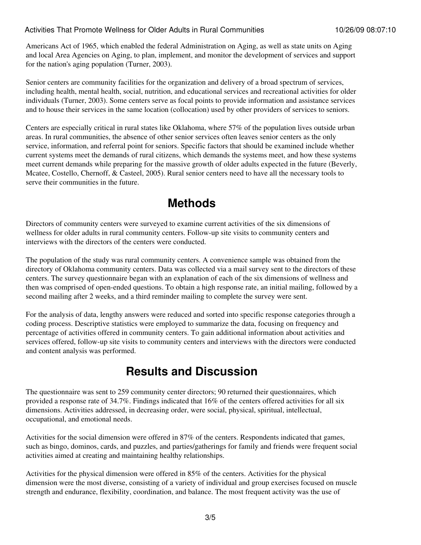Americans Act of 1965, which enabled the federal Administration on Aging, as well as state units on Aging and local Area Agencies on Aging, to plan, implement, and monitor the development of services and support for the nation's aging population (Turner, 2003).

Senior centers are community facilities for the organization and delivery of a broad spectrum of services, including health, mental health, social, nutrition, and educational services and recreational activities for older individuals (Turner, 2003). Some centers serve as focal points to provide information and assistance services and to house their services in the same location (collocation) used by other providers of services to seniors.

Centers are especially critical in rural states like Oklahoma, where 57% of the population lives outside urban areas. In rural communities, the absence of other senior services often leaves senior centers as the only service, information, and referral point for seniors. Specific factors that should be examined include whether current systems meet the demands of rural citizens, which demands the systems meet, and how these systems meet current demands while preparing for the massive growth of older adults expected in the future (Beverly, Mcatee, Costello, Chernoff, & Casteel, 2005). Rural senior centers need to have all the necessary tools to serve their communities in the future.

### **Methods**

Directors of community centers were surveyed to examine current activities of the six dimensions of wellness for older adults in rural community centers. Follow-up site visits to community centers and interviews with the directors of the centers were conducted.

The population of the study was rural community centers. A convenience sample was obtained from the directory of Oklahoma community centers. Data was collected via a mail survey sent to the directors of these centers. The survey questionnaire began with an explanation of each of the six dimensions of wellness and then was comprised of open-ended questions. To obtain a high response rate, an initial mailing, followed by a second mailing after 2 weeks, and a third reminder mailing to complete the survey were sent.

For the analysis of data, lengthy answers were reduced and sorted into specific response categories through a coding process. Descriptive statistics were employed to summarize the data, focusing on frequency and percentage of activities offered in community centers. To gain additional information about activities and services offered, follow-up site visits to community centers and interviews with the directors were conducted and content analysis was performed.

### **Results and Discussion**

The questionnaire was sent to 259 community center directors; 90 returned their questionnaires, which provided a response rate of 34.7%. Findings indicated that 16% of the centers offered activities for all six dimensions. Activities addressed, in decreasing order, were social, physical, spiritual, intellectual, occupational, and emotional needs.

Activities for the social dimension were offered in 87% of the centers. Respondents indicated that games, such as bingo, dominos, cards, and puzzles, and parties/gatherings for family and friends were frequent social activities aimed at creating and maintaining healthy relationships.

Activities for the physical dimension were offered in 85% of the centers. Activities for the physical dimension were the most diverse, consisting of a variety of individual and group exercises focused on muscle strength and endurance, flexibility, coordination, and balance. The most frequent activity was the use of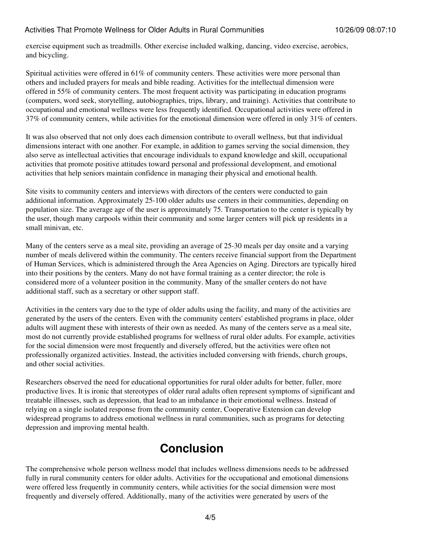#### Activities That Promote Wellness for Older Adults in Rural Communities 10/26/09 08:07:10

exercise equipment such as treadmills. Other exercise included walking, dancing, video exercise, aerobics, and bicycling.

Spiritual activities were offered in 61% of community centers. These activities were more personal than others and included prayers for meals and bible reading. Activities for the intellectual dimension were offered in 55% of community centers. The most frequent activity was participating in education programs (computers, word seek, storytelling, autobiographies, trips, library, and training). Activities that contribute to occupational and emotional wellness were less frequently identified. Occupational activities were offered in 37% of community centers, while activities for the emotional dimension were offered in only 31% of centers.

It was also observed that not only does each dimension contribute to overall wellness, but that individual dimensions interact with one another. For example, in addition to games serving the social dimension, they also serve as intellectual activities that encourage individuals to expand knowledge and skill, occupational activities that promote positive attitudes toward personal and professional development, and emotional activities that help seniors maintain confidence in managing their physical and emotional health.

Site visits to community centers and interviews with directors of the centers were conducted to gain additional information. Approximately 25-100 older adults use centers in their communities, depending on population size. The average age of the user is approximately 75. Transportation to the center is typically by the user, though many carpools within their community and some larger centers will pick up residents in a small minivan, etc.

Many of the centers serve as a meal site, providing an average of 25-30 meals per day onsite and a varying number of meals delivered within the community. The centers receive financial support from the Department of Human Services, which is administered through the Area Agencies on Aging. Directors are typically hired into their positions by the centers. Many do not have formal training as a center director; the role is considered more of a volunteer position in the community. Many of the smaller centers do not have additional staff, such as a secretary or other support staff.

Activities in the centers vary due to the type of older adults using the facility, and many of the activities are generated by the users of the centers. Even with the community centers' established programs in place, older adults will augment these with interests of their own as needed. As many of the centers serve as a meal site, most do not currently provide established programs for wellness of rural older adults. For example, activities for the social dimension were most frequently and diversely offered, but the activities were often not professionally organized activities. Instead, the activities included conversing with friends, church groups, and other social activities.

Researchers observed the need for educational opportunities for rural older adults for better, fuller, more productive lives. It is ironic that stereotypes of older rural adults often represent symptoms of significant and treatable illnesses, such as depression, that lead to an imbalance in their emotional wellness. Instead of relying on a single isolated response from the community center, Cooperative Extension can develop widespread programs to address emotional wellness in rural communities, such as programs for detecting depression and improving mental health.

### **Conclusion**

The comprehensive whole person wellness model that includes wellness dimensions needs to be addressed fully in rural community centers for older adults. Activities for the occupational and emotional dimensions were offered less frequently in community centers, while activities for the social dimension were most frequently and diversely offered. Additionally, many of the activities were generated by users of the